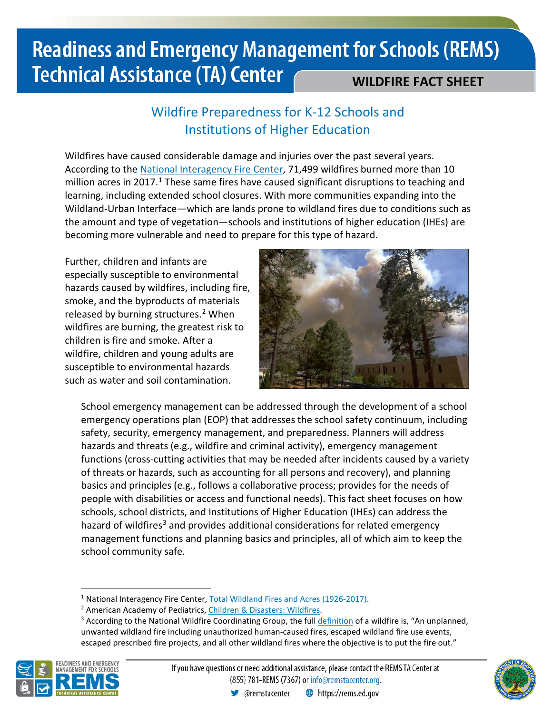### Wildfire Preparedness for K-12 Schools and Institutions of Higher Education

Wildfires have caused considerable damage and injuries over the past several years. According to the [National Interagency Fire](https://www.nifc.gov/nicc/about/about.htm) Center, 71,499 wildfires burned more than 10 million acres in 20[1](#page-0-0)7.<sup>1</sup> These same fires have caused significant disruptions to teaching and learning, including extended school closures. With more communities expanding into the Wildland-Urban Interface—which are lands prone to wildland fires due to conditions such as the amount and type of vegetation—schools and institutions of higher education (IHEs) are becoming more vulnerable and need to prepare for this type of hazard.

Further, children and infants are especially susceptible to environmental hazards caused by wildfires, including fire, smoke, and the byproducts of materials released by burning structures.<sup>[2](#page-0-1)</sup> When wildfires are burning, the greatest risk to children is fire and smoke. After a wildfire, children and young adults are susceptible to environmental hazards such as water and soil contamination.



School emergency management can be addressed through the development of a school emergency operations plan (EOP) that addresses the school safety continuum, including safety, security, emergency management, and preparedness. Planners will address hazards and threats (e.g., wildfire and criminal activity), emergency management functions (cross-cutting activities that may be needed after incidents caused by a variety of threats or hazards, such as accounting for all persons and recovery), and planning basics and principles (e.g., follows a collaborative process; provides for the needs of people with disabilities or access and functional needs). This fact sheet focuses on how schools, school districts, and Institutions of Higher Education (IHEs) can address the hazard of wildfires<sup>[3](#page-0-2)</sup> and provides additional considerations for related emergency management functions and planning basics and principles, all of which aim to keep the school community safe.

<span id="page-0-2"></span><span id="page-0-1"></span><span id="page-0-0"></span><sup>&</sup>lt;sup>1</sup> National Interagency Fire Center, **Total Wildland Fires and Acres (1926-2017)**.<br><sup>2</sup> American Academy of Pediatrics, *Children & Disasters: Wildfires*.<br><sup>3</sup> According to the National Wildfire Coordinating Group, the ful unwanted wildland fire including unauthorized human-caused fires, escaped wildland fire use events, escaped prescribed fire projects, and all other wildland fires where the objective is to put the fire out."



 $\overline{a}$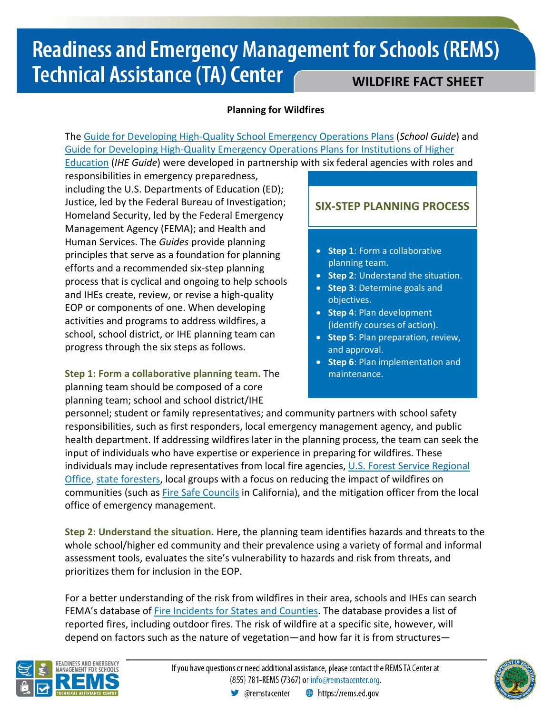#### **Planning for Wildfires**

The [Guide for Developing High-Quality School Emergency Operations Plans](https://rems.ed.gov/docs/REMS_K-12_Guide_508.pdf) (*School Guide*) and [Guide for Developing High-Quality Emergency Operations Plans for Institutions of Higher](https://rems.ed.gov/docs/REMS_IHE_Guide_508.pdf)  [Education](https://rems.ed.gov/docs/REMS_IHE_Guide_508.pdf) (*IHE Guide*) were developed in partnership with six federal agencies with roles and

responsibilities in emergency preparedness, including the U.S. Departments of Education (ED); Justice, led by the Federal Bureau of Investigation; Homeland Security, led by the Federal Emergency Management Agency (FEMA); and Health and Human Services. The *Guides* provide planning principles that serve as a foundation for planning efforts and a recommended six-step planning process that is cyclical and ongoing to help schools and IHEs create, review, or revise a high-quality EOP or components of one. When developing activities and programs to address wildfires, a school, school district, or IHE planning team can progress through the six steps as follows.

**Step 1: Form a collaborative planning team.** The planning team should be composed of a core planning team; school and school district/IHE

### **SIX-STEP PLANNING PROCESS**

- **Step 1**: Form a collaborative planning team.
- **Step 2**: Understand the situation.
- **Step 3**: Determine goals and objectives.
- **Step 4**: Plan development (identify courses of action).
- **Step 5**: Plan preparation, review, and approval.
- **Step 6**: Plan implementation and maintenance.

personnel; student or family representatives; and community partners with school safety responsibilities, such as first responders, local emergency management agency, and public health department. If addressing wildfires later in the planning process, the team can seek the input of individuals who have expertise or experience in preparing for wildfires. These individuals may include representatives from local fire agencies, [U.S. Forest Service Regional](https://www.fs.fed.us/about-agency/contact-us/regional-offices)  [Office,](https://www.fs.fed.us/about-agency/contact-us/regional-offices) [state foresters](https://www.stateforesters.org/who-we-are/our-membership/), local groups with a focus on reducing the impact of wildfires on communities (such as [Fire Safe Councils](https://cafiresafecouncil.org/local-fire-safe-councils-2/) in California), and the mitigation officer from the local office of emergency management.

**Step 2: Understand the situation.** Here, the planning team identifies hazards and threats to the whole school/higher ed community and their prevalence using a variety of formal and informal assessment tools, evaluates the site's vulnerability to hazards and risk from threats, and prioritizes them for inclusion in the EOP.

For a better understanding of the risk from wildfires in their area, schools and IHEs can search FEMA's database of [Fire Incidents for States and Counties.](https://www.fema.gov/data-visualization-fire-incidents-states-counties) The database provides a list of reported fires, including outdoor fires. The risk of wildfire at a specific site, however, will depend on factors such as the nature of vegetation—and how far it is from structures—



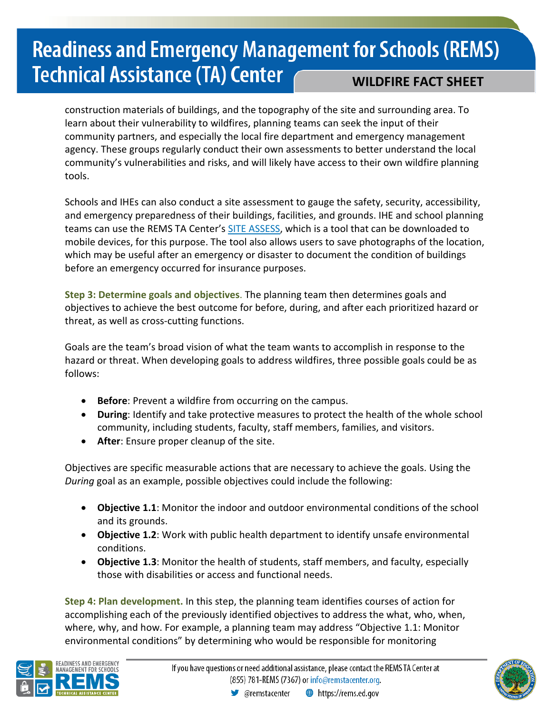construction materials of buildings, and the topography of the site and surrounding area. To learn about their vulnerability to wildfires, planning teams can seek the input of their community partners, and especially the local fire department and emergency management agency. These groups regularly conduct their own assessments to better understand the local community's vulnerabilities and risks, and will likely have access to their own wildfire planning tools.

Schools and IHEs can also conduct a site assessment to gauge the safety, security, accessibility, and emergency preparedness of their buildings, facilities, and grounds. IHE and school planning teams can use the REMS TA Center's [SITE ASSESS,](https://rems.ed.gov/SITEASSESS.aspx) which is a tool that can be downloaded to mobile devices, for this purpose. The tool also allows users to save photographs of the location, which may be useful after an emergency or disaster to document the condition of buildings before an emergency occurred for insurance purposes.

**Step 3: Determine goals and objectives**. The planning team then determines goals and objectives to achieve the best outcome for before, during, and after each prioritized hazard or threat, as well as cross-cutting functions.

Goals are the team's broad vision of what the team wants to accomplish in response to the hazard or threat. When developing goals to address wildfires, three possible goals could be as follows:

- **Before**: Prevent a wildfire from occurring on the campus.
- **During**: Identify and take protective measures to protect the health of the whole school community, including students, faculty, staff members, families, and visitors.
- **After**: Ensure proper cleanup of the site.

Objectives are specific measurable actions that are necessary to achieve the goals. Using the *During* goal as an example, possible objectives could include the following:

- **Objective 1.1**: Monitor the indoor and outdoor environmental conditions of the school and its grounds.
- **Objective 1.2**: Work with public health department to identify unsafe environmental conditions.
- **Objective 1.3**: Monitor the health of students, staff members, and faculty, especially those with disabilities or access and functional needs.

**Step 4: Plan development.** In this step, the planning team identifies courses of action for accomplishing each of the previously identified objectives to address the what, who, when, where, why, and how. For example, a planning team may address "Objective 1.1: Monitor environmental conditions" by determining who would be responsible for monitoring



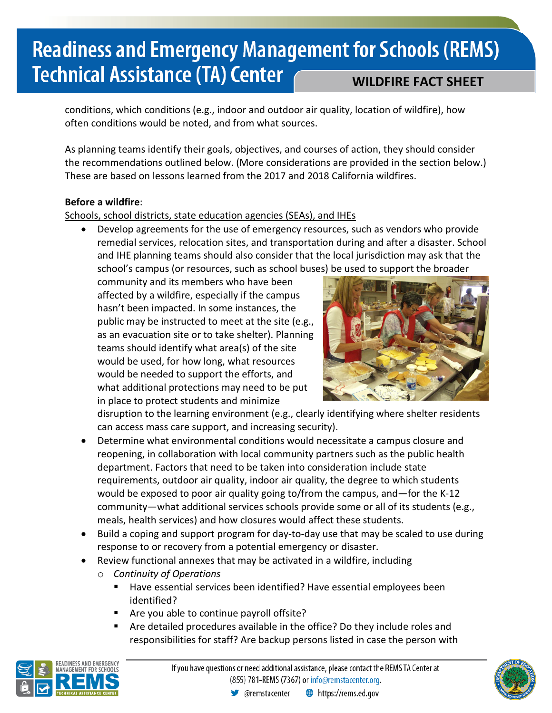conditions, which conditions (e.g., indoor and outdoor air quality, location of wildfire), how often conditions would be noted, and from what sources.

As planning teams identify their goals, objectives, and courses of action, they should consider the recommendations outlined below. (More considerations are provided in the section below.) These are based on lessons learned from the 2017 and 2018 California wildfires.

#### **Before a wildfire**:

#### Schools, school districts, state education agencies (SEAs), and IHEs

• Develop agreements for the use of emergency resources, such as vendors who provide remedial services, relocation sites, and transportation during and after a disaster. School and IHE planning teams should also consider that the local jurisdiction may ask that the school's campus (or resources, such as school buses) be used to support the broader

community and its members who have been affected by a wildfire, especially if the campus hasn't been impacted. In some instances, the public may be instructed to meet at the site (e.g., as an evacuation site or to take shelter). Planning teams should identify what area(s) of the site would be used, for how long, what resources would be needed to support the efforts, and what additional protections may need to be put in place to protect students and minimize



disruption to the learning environment (e.g., clearly identifying where shelter residents can access mass care support, and increasing security).

- Determine what environmental conditions would necessitate a campus closure and reopening, in collaboration with local community partners such as the public health department. Factors that need to be taken into consideration include state requirements, outdoor air quality, indoor air quality, the degree to which students would be exposed to poor air quality going to/from the campus, and—for the K-12 community—what additional services schools provide some or all of its students (e.g., meals, health services) and how closures would affect these students.
- Build a coping and support program for day-to-day use that may be scaled to use during response to or recovery from a potential emergency or disaster.
- Review functional annexes that may be activated in a wildfire, including
	- o *Continuity of Operations*
		- Have essential services been identified? Have essential employees been identified?
		- **Are you able to continue payroll offsite?**
		- Are detailed procedures available in the office? Do they include roles and responsibilities for staff? Are backup persons listed in case the person with



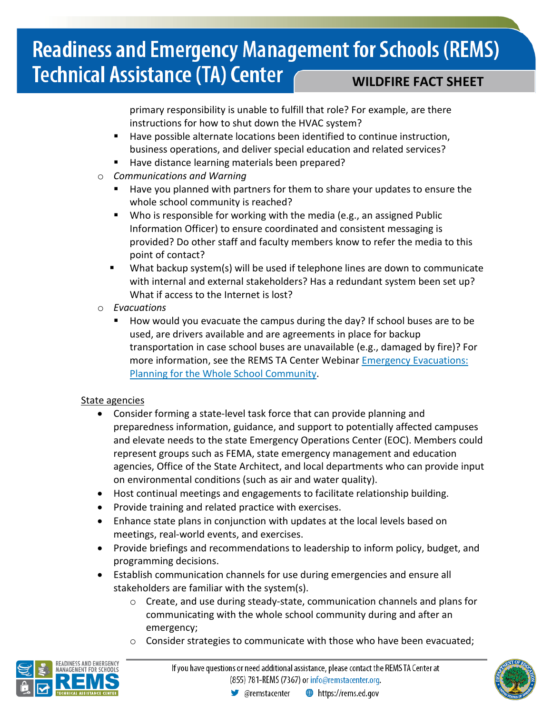primary responsibility is unable to fulfill that role? For example, are there instructions for how to shut down the HVAC system?

- Have possible alternate locations been identified to continue instruction, business operations, and deliver special education and related services?
- Have distance learning materials been prepared?
- o *Communications and Warning*
	- Have you planned with partners for them to share your updates to ensure the whole school community is reached?
	- Who is responsible for working with the media (e.g., an assigned Public Information Officer) to ensure coordinated and consistent messaging is provided? Do other staff and faculty members know to refer the media to this point of contact?
	- What backup system(s) will be used if telephone lines are down to communicate with internal and external stakeholders? Has a redundant system been set up? What if access to the Internet is lost?
- o *Evacuations*
	- How would you evacuate the campus during the day? If school buses are to be used, are drivers available and are agreements in place for backup transportation in case school buses are unavailable (e.g., damaged by fire)? For more information, see the REMS TA Center Webinar [Emergency Evacuations:](https://rems.ed.gov/EvacuationWebinar.aspx)  [Planning for the Whole School Community.](https://rems.ed.gov/EvacuationWebinar.aspx)

#### State agencies

- Consider forming a state-level task force that can provide planning and preparedness information, guidance, and support to potentially affected campuses and elevate needs to the state Emergency Operations Center (EOC). Members could represent groups such as FEMA, state emergency management and education agencies, Office of the State Architect, and local departments who can provide input on environmental conditions (such as air and water quality).
- Host continual meetings and engagements to facilitate relationship building.
- Provide training and related practice with exercises.
- Enhance state plans in conjunction with updates at the local levels based on meetings, real-world events, and exercises.
- Provide briefings and recommendations to leadership to inform policy, budget, and programming decisions.
- Establish communication channels for use during emergencies and ensure all stakeholders are familiar with the system(s).
	- o Create, and use during steady-state, communication channels and plans for communicating with the whole school community during and after an emergency;
	- Consider strategies to communicate with those who have been evacuated;



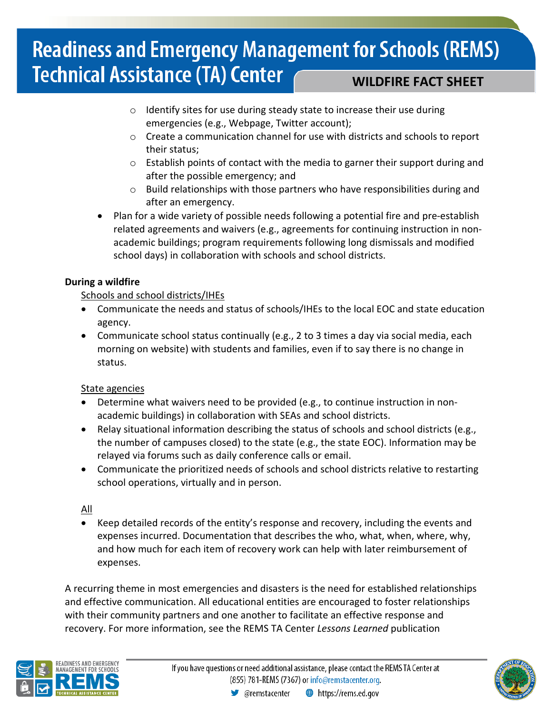- o Identify sites for use during steady state to increase their use during emergencies (e.g., Webpage, Twitter account);
- $\circ$  Create a communication channel for use with districts and schools to report their status;
- o Establish points of contact with the media to garner their support during and after the possible emergency; and
- $\circ$  Build relationships with those partners who have responsibilities during and after an emergency.
- Plan for a wide variety of possible needs following a potential fire and pre-establish related agreements and waivers (e.g., agreements for continuing instruction in nonacademic buildings; program requirements following long dismissals and modified school days) in collaboration with schools and school districts.

#### **During a wildfire**

Schools and school districts/IHEs

- Communicate the needs and status of schools/IHEs to the local EOC and state education agency.
- Communicate school status continually (e.g., 2 to 3 times a day via social media, each morning on website) with students and families, even if to say there is no change in status.

#### State agencies

- Determine what waivers need to be provided (e.g., to continue instruction in nonacademic buildings) in collaboration with SEAs and school districts.
- Relay situational information describing the status of schools and school districts (e.g., the number of campuses closed) to the state (e.g., the state EOC). Information may be relayed via forums such as daily conference calls or email.
- Communicate the prioritized needs of schools and school districts relative to restarting school operations, virtually and in person.

All

• Keep detailed records of the entity's response and recovery, including the events and expenses incurred. Documentation that describes the who, what, when, where, why, and how much for each item of recovery work can help with later reimbursement of expenses.

A recurring theme in most emergencies and disasters is the need for established relationships and effective communication. All educational entities are encouraged to foster relationships with their community partners and one another to facilitate an effective response and recovery. For more information, see the REMS TA Center *Lessons Learned* publication



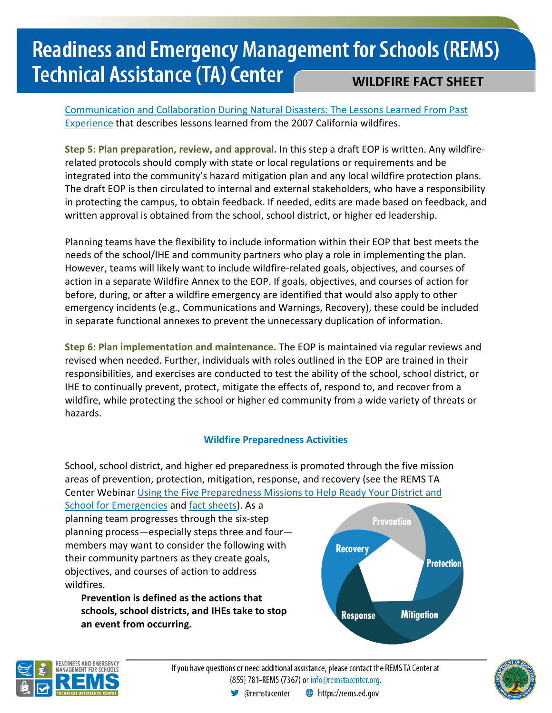[Communication and Collaboration During Natural Disasters: The Lessons Learned From Past](https://rems.ed.gov/docs/LL_Vol3Issue2.pdf)  **[Experience](https://rems.ed.gov/docs/LL_Vol3Issue2.pdf)** that describes lessons learned from the 2007 California wildfires.

**Step 5: Plan preparation, review, and approval.** In this step a draft EOP is written. Any wildfirerelated protocols should comply with state or local regulations or requirements and be integrated into the community's hazard mitigation plan and any local wildfire protection plans. The draft EOP is then circulated to internal and external stakeholders, who have a responsibility in protecting the campus, to obtain feedback. If needed, edits are made based on feedback, and written approval is obtained from the school, school district, or higher ed leadership.

Planning teams have the flexibility to include information within their EOP that best meets the needs of the school/IHE and community partners who play a role in implementing the plan. However, teams will likely want to include wildfire-related goals, objectives, and courses of action in a separate Wildfire Annex to the EOP. If goals, objectives, and courses of action for before, during, or after a wildfire emergency are identified that would also apply to other emergency incidents (e.g., Communications and Warnings, Recovery), these could be included in separate functional annexes to prevent the unnecessary duplication of information.

**Step 6: Plan implementation and maintenance.** The EOP is maintained via regular reviews and revised when needed. Further, individuals with roles outlined in the EOP are trained in their responsibilities, and exercises are conducted to test the ability of the school, school district, or IHE to continually prevent, protect, mitigate the effects of, respond to, and recover from a wildfire, while protecting the school or higher ed community from a wide variety of threats or hazards.

#### **Wildfire Preparedness Activities**

School, school district, and higher ed preparedness is promoted through the five mission areas of prevention, protection, mitigation, response, and recovery (see the REMS TA Center Webinar [Using the Five Preparedness Missions to Help Ready Your District and](http://rems.ed.gov/PreparednessMissionsForSchoolEmerg.aspx) 

[School for Emergencies](http://rems.ed.gov/PreparednessMissionsForSchoolEmerg.aspx) an[d fact sheets\)](https://rems.ed.gov/RemsPublications.aspx). As a planning team progresses through the six-step planning process—especially steps three and four members may want to consider the following with their community partners as they create goals, objectives, and courses of action to address wildfires.

**Prevention is defined as the actions that schools, school districts, and IHEs take to stop an event from occurring.** 





If you have questions or need additional assistance, please contact the REMS TA Center at (855) 781-REMS (7367) or info@remstacenter.org.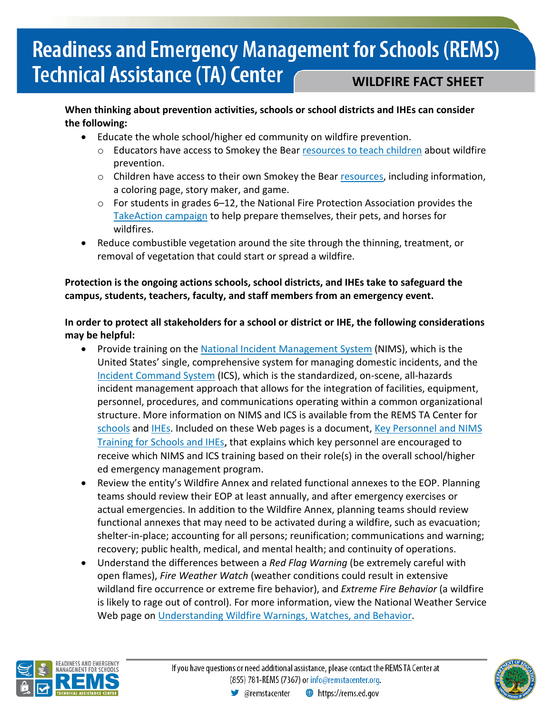#### **When thinking about prevention activities, schools or school districts and IHEs can consider the following:**

- Educate the whole school/higher ed community on wildfire prevention.
	- o Educators have access to Smokey the Bear [resources to teach children](https://smokeybear.com/en/for-educators) about wildfire prevention.
	- $\circ$  Children have access to their own Smokey the Bear [resources,](https://smokeybear.com/en/smokey-for-kids) including information, a coloring page, story maker, and game.
	- o For students in grades 6–12, the National Fire Protection Association provides the [TakeAction campaign](https://www.nfpa.org/takeaction) to help prepare themselves, their pets, and horses for wildfires.
- Reduce combustible vegetation around the site through the thinning, treatment, or removal of vegetation that could start or spread a wildfire.

#### **Protection is the ongoing actions schools, school districts, and IHEs take to safeguard the campus, students, teachers, faculty, and staff members from an emergency event.**

#### **In order to protect all stakeholders for a school or district or IHE, the following considerations may be helpful:**

- Provide training on th[e National Incident Management System](https://www.fema.gov/national-incident-management-system) (NIMS), which is the United States' single, comprehensive system for managing domestic incidents, and the [Incident Command System](https://training.fema.gov/emiweb/is/icsresource/index.htm) (ICS), which is the standardized, on-scene, all-hazards incident management approach that allows for the integration of facilities, equipment, personnel, procedures, and communications operating within a common organizational structure. More information on NIMS and ICS is available from the REMS TA Center for [schools](https://rems.ed.gov/K12NIMSImplementation.aspx) and [IHEs.](https://rems.ed.gov/IHENIMSImplementation.aspx) Included on these Web pages is a document, [Key Personnel and NIMS](https://rems.ed.gov/docs/NIMS_KeyPersonnelTraining_2009-2010.pdf)  [Training for Schools and IHEs,](https://rems.ed.gov/docs/NIMS_KeyPersonnelTraining_2009-2010.pdf) that explains which key personnel are encouraged to receive which NIMS and ICS training based on their role(s) in the overall school/higher ed emergency management program.
- Review the entity's Wildfire Annex and related functional annexes to the EOP. Planning teams should review their EOP at least annually, and after emergency exercises or actual emergencies. In addition to the Wildfire Annex, planning teams should review functional annexes that may need to be activated during a wildfire, such as evacuation; shelter-in-place; accounting for all persons; reunification; communications and warning; recovery; public health, medical, and mental health; and continuity of operations.
- Understand the differences between a *Red Flag Warning* (be extremely careful with open flames), *Fire Weather Watch* (weather conditions could result in extensive wildland fire occurrence or extreme fire behavior), and *Extreme Fire Behavior* (a wildfire is likely to rage out of control). For more information, view the National Weather Service Web page on [Understanding Wildfire Warnings, Watches, and Behavior.](https://www.weather.gov/safety/wildfire-ww)



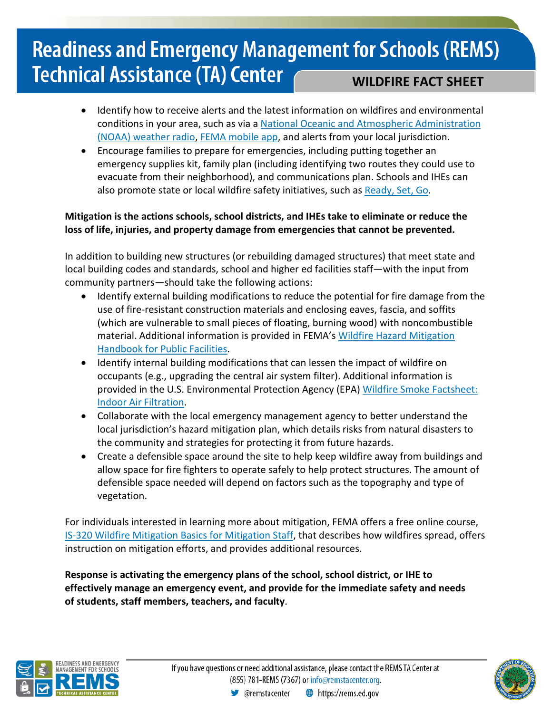- Identify how to receive alerts and the latest information on wildfires and environmental conditions in your area, such as via a [National Oceanic and Atmospheric Administration](https://www.nws.noaa.gov/nwr/info/geninfo.html)  [\(NOAA\) weather radio,](https://www.nws.noaa.gov/nwr/info/geninfo.html) FEMA [mobile](https://www.fema.gov/mobile-app) app, and alerts from your local jurisdiction.
- Encourage families to prepare for emergencies, including putting together an emergency supplies kit, family plan (including identifying two routes they could use to evacuate from their neighborhood), and communications plan. Schools and IHEs can also promote state or local wildfire safety initiatives, such as [Ready, Set, Go.](http://www.wildlandfirersg.org/)

#### **Mitigation is the actions schools, school districts, and IHEs take to eliminate or reduce the loss of life, injuries, and property damage from emergencies that cannot be prevented.**

In addition to building new structures (or rebuilding damaged structures) that meet state and local building codes and standards, school and higher ed facilities staff—with the input from community partners—should take the following actions:

- Identify external building modifications to reduce the potential for fire damage from the use of fire-resistant construction materials and enclosing eaves, fascia, and soffits (which are vulnerable to small pieces of floating, burning wood) with noncombustible material. Additional information is provided in FEMA's Wildfire Hazard Mitigation [Handbook for Public Facilities.](https://www.fema.gov/media-library/assets/documents/16568)
- Identify internal building modifications that can lessen the impact of wildfire on occupants (e.g., upgrading the central air system filter). Additional information is provided in the U.S. Environmental Protection Agency (EPA) [Wildfire Smoke Factsheet:](https://www3.epa.gov/airnow/smoke_fires/indoor-air-filtration-factsheet-508.pdf)  [Indoor Air Filtration.](https://www3.epa.gov/airnow/smoke_fires/indoor-air-filtration-factsheet-508.pdf)
- Collaborate with the local emergency management agency to better understand the local jurisdiction's hazard mitigation plan, which details risks from natural disasters to the community and strategies for protecting it from future hazards.
- Create a defensible space around the site to help keep wildfire away from buildings and allow space for fire fighters to operate safely to help protect structures. The amount of defensible space needed will depend on factors such as the topography and type of vegetation.

For individuals interested in learning more about mitigation, FEMA offers a free online course, [IS-320 Wildfire Mitigation Basics for Mitigation Staff,](https://training.fema.gov/is/courseoverview.aspx?code=IS-320) that describes how wildfires spread, offers instruction on mitigation efforts, and provides additional resources.

**Response is activating the emergency plans of the school, school district, or IHE to effectively manage an emergency event, and provide for the immediate safety and needs of students, staff members, teachers, and faculty**.



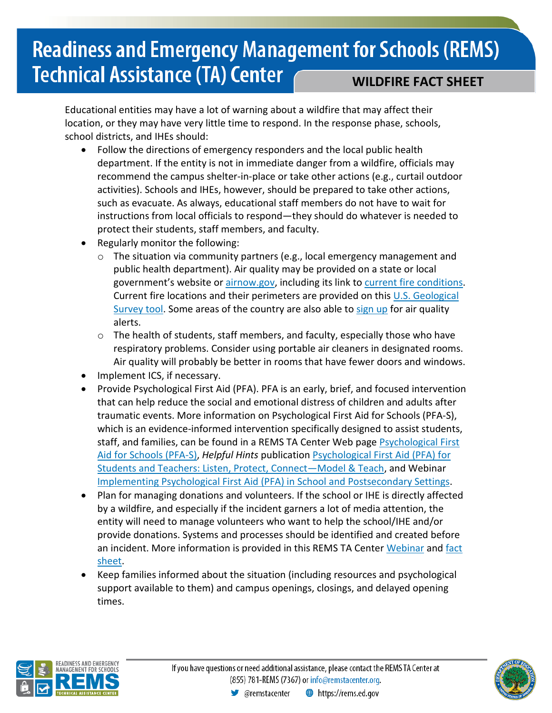Educational entities may have a lot of warning about a wildfire that may affect their location, or they may have very little time to respond. In the response phase, schools, school districts, and IHEs should:

- Follow the directions of emergency responders and the local public health department. If the entity is not in immediate danger from a wildfire, officials may recommend the campus shelter-in-place or take other actions (e.g., curtail outdoor activities). Schools and IHEs, however, should be prepared to take other actions, such as evacuate. As always, educational staff members do not have to wait for instructions from local officials to respond—they should do whatever is needed to protect their students, staff members, and faculty.
- Regularly monitor the following:
	- $\circ$  The situation via community partners (e.g., local emergency management and public health department). Air quality may be provided on a state or local government's website or [airnow.gov,](https://airnow.gov/) including its link to [current fire conditions.](https://airnow.gov/index.cfm?action=topics.smoke_wildfires) Current fire locations and their perimeters are provided on this [U.S. Geological](https://www.usgs.gov/products/data-and-tools/real-time-data/wildfire)  [Survey tool.](https://www.usgs.gov/products/data-and-tools/real-time-data/wildfire) Some areas of the country are also able to [sign up](http://www.enviroflash.info/) for air quality alerts.
	- $\circ$  The health of students, staff members, and faculty, especially those who have respiratory problems. Consider using portable air cleaners in designated rooms. Air quality will probably be better in rooms that have fewer doors and windows.
- Implement ICS, if necessary.
- Provide Psychological First Aid (PFA). PFA is an early, brief, and focused intervention that can help reduce the social and emotional distress of children and adults after traumatic events. More information on Psychological First Aid for Schools (PFA-S), which is an evidence-informed intervention specifically designed to assist students, staff, and families, can be found in a REMS TA Center Web page [Psychological First](http://rems.ed.gov/K12PFAS.aspx)  [Aid for Schools \(PFA-S\),](http://rems.ed.gov/K12PFAS.aspx) *Helpful Hints* publicatio[n Psychological First Aid \(PFA\) for](http://rems.ed.gov/docs/HH_Vol3Issue3.pdf)  [Students and Teachers: Listen, Protect, Connect—Model & Teach,](http://rems.ed.gov/docs/HH_Vol3Issue3.pdf) and Webinar [Implementing Psychological First Aid \(PFA\) in School and Postsecondary Settings.](http://rems.ed.gov/ImplementingPsychologicalFirstAid.aspx)
- Plan for managing donations and volunteers. If the school or IHE is directly affected by a wildfire, and especially if the incident garners a lot of media attention, the entity will need to manage volunteers who want to help the school/IHE and/or provide donations. Systems and processes should be identified and created before an incident. More information is provided in this REMS TA Center [Webinar](https://rems.ed.gov/ManagingDonations_Volunteers.aspx) and fact [sheet.](https://rems.ed.gov/docs/Donations_Volunteers_FactSheet_508C.pdf)
- Keep families informed about the situation (including resources and psychological support available to them) and campus openings, closings, and delayed opening times.



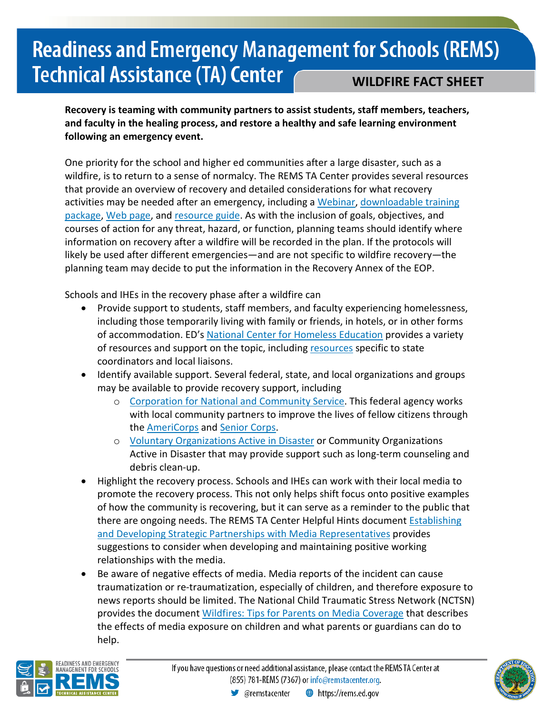**Recovery is teaming with community partners to assist students, staff members, teachers, and faculty in the healing process, and restore a healthy and safe learning environment following an emergency event.**

One priority for the school and higher ed communities after a large disaster, such as a wildfire, is to return to a sense of normalcy. The REMS TA Center provides several resources that provide an overview of recovery and detailed considerations for what recovery activities may be needed after an emergency, including a [Webinar,](http://rems.ed.gov/PlanningtoRecoverFromEmergencies.aspx) downloadable training [package,](http://rems.ed.gov/TrainingPackage.aspx) [Web page,](http://rems.ed.gov/K12RecoveryAnnex.aspx) and [resource guide.](http://rems.ed.gov/docs/Recovery_Annex_Resource_Guide_8-29-17_508C.pdf) As with the inclusion of goals, objectives, and courses of action for any threat, hazard, or function, planning teams should identify where information on recovery after a wildfire will be recorded in the plan. If the protocols will likely be used after different emergencies—and are not specific to wildfire recovery—the planning team may decide to put the information in the Recovery Annex of the EOP.

Schools and IHEs in the recovery phase after a wildfire can

- Provide support to students, staff members, and faculty experiencing homelessness, including those temporarily living with family or friends, in hotels, or in other forms of accommodation. ED's [National Center for Homeless Education](https://nche.ed.gov/) provides a variety of [resources](https://nche.ed.gov/resources/) and support on the topic, including resources specific to state coordinators and local liaisons.
- Identify available support. Several federal, state, and local organizations and groups may be available to provide recovery support, including
	- o [Corporation for National and Community Service.](https://www.nationalservice.gov/programs/senior-corps) This federal agency works with local community partners to improve the lives of fellow citizens through the [AmeriCorps](https://www.nationalservice.gov/programs/americorps) and [Senior Corps.](https://www.nationalservice.gov/programs/senior-corps)
	- o [Voluntary Organizations Active in Disaster](https://www.nvoad.org/) or Community Organizations Active in Disaster that may provide support such as long-term counseling and debris clean-up.
- Highlight the recovery process. Schools and IHEs can work with their local media to promote the recovery process. This not only helps shift focus onto positive examples of how the community is recovering, but it can serve as a reminder to the public that there are ongoing needs. The REMS TA Center Helpful Hints document [Establishing](http://rems.ed.gov/docs/HH_Vol2Issue8.pdf)  [and Developing Strategic Partnerships with Media Representatives](http://rems.ed.gov/docs/HH_Vol2Issue8.pdf) provides suggestions to consider when developing and maintaining positive working relationships with the media.
- Be aware of negative effects of media. Media reports of the incident can cause traumatization or re-traumatization, especially of children, and therefore exposure to news reports should be limited. The National Child Traumatic Stress Network (NCTSN) provides the document [Wildfires: Tips for Parents on Media Coverage](https://www.nctsn.org/resources/wildfires-tips-parents-media-coverage) that describes the effects of media exposure on children and what parents or guardians can do to help.